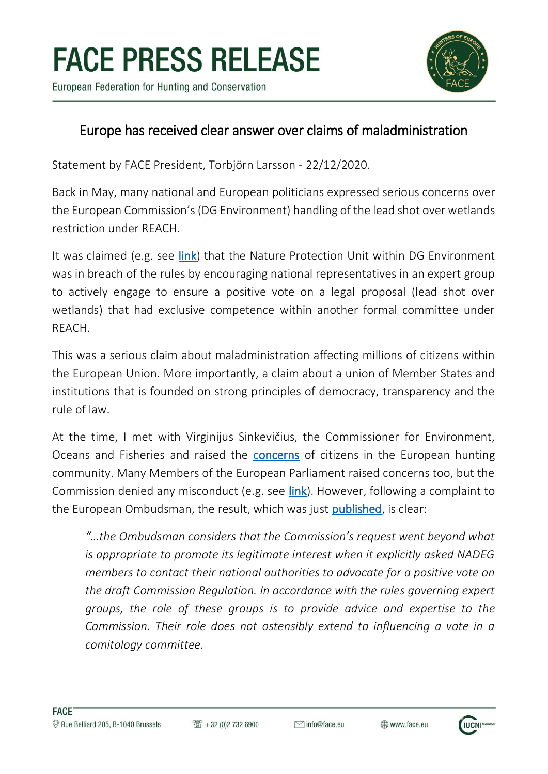

European Federation for Hunting and Conservation

## Europe has received clear answer over claims of maladministration

Statement by FACE President, Torbjörn Larsson - 22/12/2020.

Back in May, many national and European politicians expressed serious concerns over the European Commission's (DG Environment) handling of the lead shot over wetlands restriction under REACH.

It was claimed (e.g. see [link\)](https://www.zdechovsky.eu/userfiles/posts/May2020/Et3HeJqRfkACtljn8Zxd.pdf) that the Nature Protection Unit within DG Environment was in breach of the rules by encouraging national representatives in an expert group to actively engage to ensure a positive vote on a legal proposal (lead shot over wetlands) that had exclusive competence within another formal committee under REACH.

This was a serious claim about maladministration affecting millions of citizens within the European Union. More importantly, a claim about a union of Member States and institutions that is founded on strong principles of democracy, transparency and the rule of law.

At the time, I met with Virginijus Sinkevičius, the Commissioner for Environment, Oceans and Fisheries and raised the **[concerns](https://www.face.eu/2020/05/statement-by-face-president/)** of citizens in the European hunting community. Many Members of the European Parliament raised concerns too, but the Commission denied any misconduct (e.g. see [link\)](https://www.europarl.europa.eu/doceo/document/E-9-2020-002855-ASW_EN.html). However, following a complaint to the European Ombudsman, the result, which was just **published**, is clear:

*"…the Ombudsman considers that the Commission's request went beyond what is appropriate to promote its legitimate interest when it explicitly asked NADEG members to contact their national authorities to advocate for a positive vote on the draft Commission Regulation. In accordance with the rules governing expert groups, the role of these groups is to provide advice and expertise to the Commission. Their role does not ostensibly extend to influencing a vote in a comitology committee.*